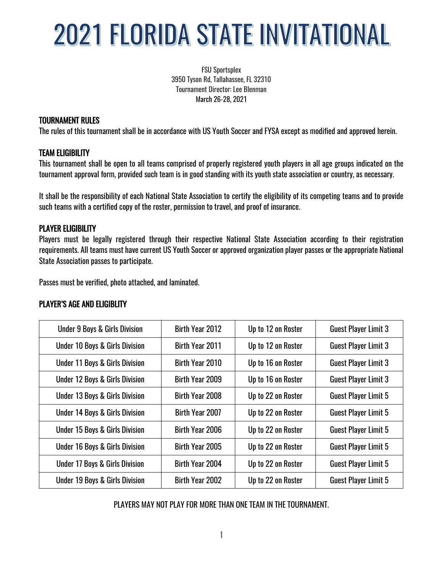FSU Sportsplex 3950 Tyson Rd, Tallahassee, FL 32310 Tournament Director: Lee Blenman March 26-28, 2021

#### TOURNAMENT RULES

The rules of this tournament shall be in accordance with US Youth Soccer and FYSA except as modified and approved herein.

### TEAM ELIGIBILITY

This tournament shall be open to all teams comprised of properly registered youth players in all age groups indicated on the tournament approval form, provided such team is in good standing with its youth state association or country, as necessary.

It shall be the responsibility of each National State Association to certify the eligibility of its competing teams and to provide such teams with a certified copy of the roster, permission to travel, and proof of insurance.

## PLAYER ELIGIBILITY

Players must be legally registered through their respective National State Association according to their registration requirements. All teams must have current US Youth Soccer or approved organization player passes or the appropriate National State Association passes to participate.

Passes must be verified, photo attached, and laminated.

#### PLAYER'S AGE AND ELIGIBLITY

| <b>Under 9 Boys &amp; Girls Division</b>  | Birth Year 2012 | Up to 12 on Roster | <b>Guest Player Limit 3</b> |
|-------------------------------------------|-----------------|--------------------|-----------------------------|
| <b>Under 10 Boys &amp; Girls Division</b> | Birth Year 2011 | Up to 12 on Roster | <b>Guest Player Limit 3</b> |
| <b>Under 11 Boys &amp; Girls Division</b> | Birth Year 2010 | Up to 16 on Roster | <b>Guest Player Limit 3</b> |
| <b>Under 12 Boys &amp; Girls Division</b> | Birth Year 2009 | Up to 16 on Roster | <b>Guest Player Limit 3</b> |
| <b>Under 13 Boys &amp; Girls Division</b> | Birth Year 2008 | Up to 22 on Roster | <b>Guest Player Limit 5</b> |
| <b>Under 14 Boys &amp; Girls Division</b> | Birth Year 2007 | Up to 22 on Roster | <b>Guest Player Limit 5</b> |
| <b>Under 15 Boys &amp; Girls Division</b> | Birth Year 2006 | Up to 22 on Roster | <b>Guest Player Limit 5</b> |
| <b>Under 16 Boys &amp; Girls Division</b> | Birth Year 2005 | Up to 22 on Roster | <b>Guest Player Limit 5</b> |
| <b>Under 17 Boys &amp; Girls Division</b> | Birth Year 2004 | Up to 22 on Roster | <b>Guest Player Limit 5</b> |
| <b>Under 19 Boys &amp; Girls Division</b> | Birth Year 2002 | Up to 22 on Roster | <b>Guest Player Limit 5</b> |

PLAYERS MAY NOT PLAY FOR MORE THAN ONE TEAM IN THE TOURNAMENT.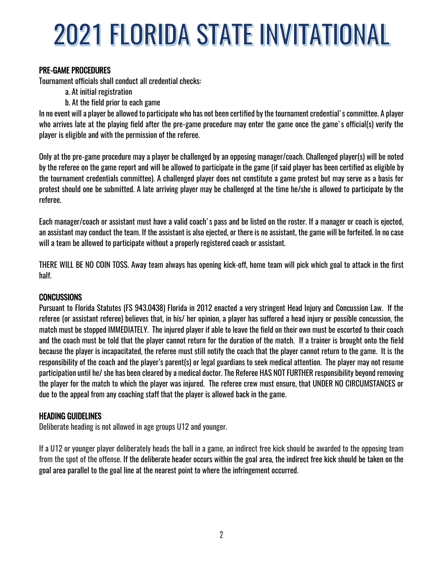### PRE-GAME PROCEDURES

Tournament officials shall conduct all credential checks:

- a. At initial registration
- b. At the field prior to each game

In no event will a player be allowed to participate who has not been certified by the tournament credential's committee. A player who arrives late at the playing field after the pre-game procedure may enter the game once the game's official(s) verify the player is eligible and with the permission of the referee.

Only at the pre-game procedure may a player be challenged by an opposing manager/coach. Challenged player(s) will be noted by the referee on the game report and will be allowed to participate in the game (if said player has been certified as eligible by the tournament credentials committee). A challenged player does not constitute a game protest but may serve as a basis for protest should one be submitted. A late arriving player may be challenged at the time he/she is allowed to participate by the referee.

Each manager/coach or assistant must have a valid coach's pass and be listed on the roster. If a manager or coach is ejected, an assistant may conduct the team. If the assistant is also ejected, or there is no assistant, the game will be forfeited. In no case will a team be allowed to participate without a properly registered coach or assistant.

THERE WILL BE NO COIN TOSS. Away team always has opening kick-off, home team will pick which goal to attack in the first half.

#### **CONCUSSIONS**

Pursuant to Florida Statutes (FS 943.0438) Florida in 2012 enacted a very stringent Head Injury and Concussion Law. If the referee (or assistant referee) believes that, in his/ her opinion, a player has suffered a head injury or possible concussion, the match must be stopped IMMEDIATELY. The injured player if able to leave the field on their own must be escorted to their coach and the coach must be told that the player cannot return for the duration of the match. If a trainer is brought onto the field because the player is incapacitated, the referee must still notify the coach that the player cannot return to the game. It is the responsibility of the coach and the player's parent(s) or legal guardians to seek medical attention. The player may not resume participation until he/ she has been cleared by a medical doctor. The Referee HAS NOT FURTHER responsibility beyond removing the player for the match to which the player was injured. The referee crew must ensure, that UNDER NO CIRCUMSTANCES or due to the appeal from any coaching staff that the player is allowed back in the game.

#### HEADING GUIDELINES

Deliberate heading is not allowed in age groups U12 and younger.

If a U12 or younger player deliberately heads the ball in a game, an indirect free kick should be awarded to the opposing team from the spot of the offense. If the deliberate header occurs within the goal area, the indirect free kick should be taken on the goal area parallel to the goal line at the nearest point to where the infringement occurred.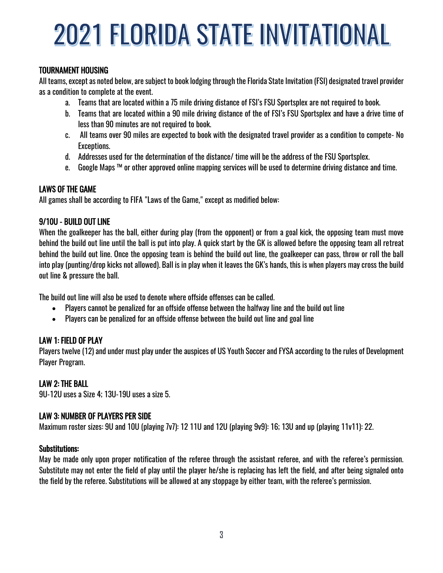## TOURNAMENT HOUSING

All teams, except as noted below, are subject to book lodging through the Florida State Invitation (FSI) designated travel provider as a condition to complete at the event.

- a. Teams that are located within a 75 mile driving distance of FSI's FSU Sportsplex are not required to book.
- b. Teams that are located within a 90 mile driving distance of the of FSI's FSU Sportsplex and have a drive time of less than 90 minutes are not required to book.
- c. All teams over 90 miles are expected to book with the designated travel provider as a condition to compete- No Exceptions.
- d. Addresses used for the determination of the distance/ time will be the address of the FSU Sportsplex.
- e. Google Maps ™ or other approved online mapping services will be used to determine driving distance and time.

### LAWS OF THE GAME

All games shall be according to FIFA "Laws of the Game," except as modified below:

## 9/10U - BUILD OUT LINE

When the goalkeeper has the ball, either during play (from the opponent) or from a goal kick, the opposing team must move behind the build out line until the ball is put into play. A quick start by the GK is allowed before the opposing team all retreat behind the build out line. Once the opposing team is behind the build out line, the goalkeeper can pass, throw or roll the ball into play (punting/drop kicks not allowed). Ball is in play when it leaves the GK's hands, this is when players may cross the build out line & pressure the ball.

The build out line will also be used to denote where offside offenses can be called.

- Players cannot be penalized for an offside offense between the halfway line and the build out line
- Players can be penalized for an offside offense between the build out line and goal line

## LAW 1: FIELD OF PLAY

Players twelve (12) and under must play under the auspices of US Youth Soccer and FYSA according to the rules of Development Player Program.

## LAW 2: THE BALL

9U-12U uses a Size 4; 13U-19U uses a size 5.

## LAW 3: NUMBER OF PLAYERS PER SIDE

Maximum roster sizes: 9U and 10U (playing 7v7): 12 11U and 12U (playing 9v9): 16; 13U and up (playing 11v11): 22.

#### Substitutions:

May be made only upon proper notification of the referee through the assistant referee, and with the referee's permission. Substitute may not enter the field of play until the player he/she is replacing has left the field, and after being signaled onto the field by the referee. Substitutions will be allowed at any stoppage by either team, with the referee's permission.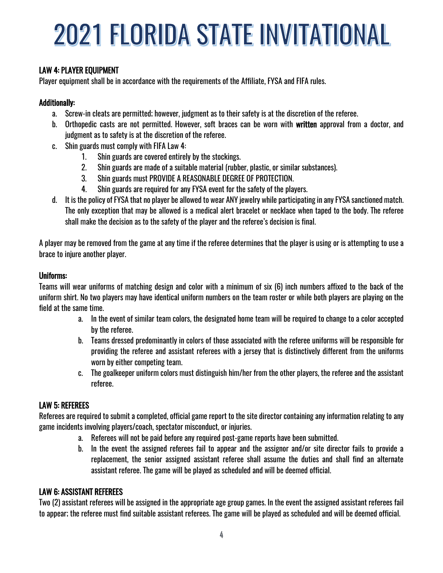## LAW 4: PLAYER EQUIPMENT

Player equipment shall be in accordance with the requirements of the Affiliate, FYSA and FIFA rules.

#### Additionally:

- a. Screw-in cleats are permitted; however, judgment as to their safety is at the discretion of the referee.
- b. Orthopedic casts are not permitted. However, soft braces can be worn with written approval from a doctor, and judgment as to safety is at the discretion of the referee.
- c. Shin guards must comply with FIFA Law 4:
	- 1. Shin guards are covered entirely by the stockings.
	- 2. Shin guards are made of a suitable material (rubber, plastic, or similar substances).
	- 3. Shin guards must PROVIDE A REASONABLE DEGREE OF PROTECTION.
	- 4. Shin guards are required for any FYSA event for the safety of the players.
- d. It is the policy of FYSA that no player be allowed to wear ANY jewelry while participating in any FYSA sanctioned match. The only exception that may be allowed is a medical alert bracelet or necklace when taped to the body. The referee shall make the decision as to the safety of the player and the referee's decision is final.

A player may be removed from the game at any time if the referee determines that the player is using or is attempting to use a brace to injure another player.

#### Uniforms:

Teams will wear uniforms of matching design and color with a minimum of six (6) inch numbers affixed to the back of the uniform shirt. No two players may have identical uniform numbers on the team roster or while both players are playing on the field at the same time.

- a. In the event of similar team colors, the designated home team will be required to change to a color accepted by the referee.
- b. Teams dressed predominantly in colors of those associated with the referee uniforms will be responsible for providing the referee and assistant referees with a jersey that is distinctively different from the uniforms worn by either competing team.
- c. The goalkeeper uniform colors must distinguish him/her from the other players, the referee and the assistant referee.

#### LAW 5: REFEREES

Referees are required to submit a completed, official game report to the site director containing any information relating to any game incidents involving players/coach, spectator misconduct, or injuries.

- a. Referees will not be paid before any required post-game reports have been submitted.
- b. In the event the assigned referees fail to appear and the assignor and/or site director fails to provide a replacement, the senior assigned assistant referee shall assume the duties and shall find an alternate assistant referee. The game will be played as scheduled and will be deemed official.

## LAW 6: ASSISTANT REFEREES

Two (2) assistant referees will be assigned in the appropriate age group games. In the event the assigned assistant referees fail to appear; the referee must find suitable assistant referees. The game will be played as scheduled and will be deemed official.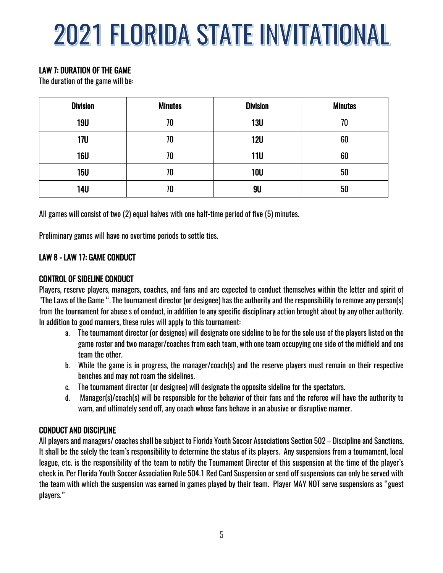## LAW 7: DURATION OF THE GAME

The duration of the game will be:

| <b>Division</b> | <b>Minutes</b> | <b>Division</b> | <b>Minutes</b> |
|-----------------|----------------|-----------------|----------------|
| <b>19U</b>      | 70             | <b>13U</b>      | 70             |
| <b>17U</b>      | 70             | <b>12U</b>      | 60             |
| <b>16U</b>      | 70             | <b>11U</b>      | 60             |
| <b>15U</b>      | 70             | <b>10U</b>      | 50             |
| <b>14U</b>      | 70             | 9U              | 50             |

All games will consist of two (2) equal halves with one half-time period of five (5) minutes.

Preliminary games will have no overtime periods to settle ties.

#### LAW 8 - LAW 17: GAME CONDUCT

#### CONTROL OF SIDELINE CONDUCT

Players, reserve players, managers, coaches, and fans and are expected to conduct themselves within the letter and spirit of "The Laws of the Game ". The tournament director (or designee) has the authority and the responsibility to remove any person(s) from the tournament for abuse s of conduct, in addition to any specific disciplinary action brought about by any other authority. In addition to good manners, these rules will apply to this tournament:

- a. The tournament director (or designee) will designate one sideline to be for the sole use of the players listed on the game roster and two manager/coaches from each team, with one team occupying one side of the midfield and one team the other.
- b. While the game is in progress, the manager/coach(s) and the reserve players must remain on their respective benches and may not roam the sidelines.
- c. The tournament director (or designee) will designate the opposite sideline for the spectators.
- d. Manager(s)/coach(s) will be responsible for the behavior of their fans and the referee will have the authority to warn, and ultimately send off, any coach whose fans behave in an abusive or disruptive manner.

#### CONDUCT AND DISCIPLINE

All players and managers/ coaches shall be subject to Florida Youth Soccer Associations Section 502 – Discipline and Sanctions. It shall be the solely the team's responsibility to determine the status of its players. Any suspensions from a tournament, local league, etc. is the responsibility of the team to notify the Tournament Director of this suspension at the time of the player's check in. Per Florida Youth Soccer Association Rule 504.1 Red Card Suspension or send off suspensions can only be served with the team with which the suspension was earned in games played by their team. Player MAY NOT serve suspensions as "guest players."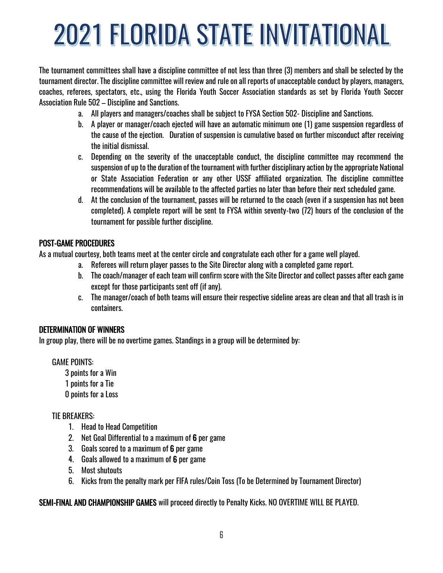The tournament committees shall have a discipline committee of not less than three (3) members and shall be selected by the tournament director. The discipline committee will review and rule on all reports of unacceptable conduct by players, managers, coaches, referees, spectators, etc., using the Florida Youth Soccer Association standards as set by Florida Youth Soccer Association Rule 502 – Discipline and Sanctions.

- a. All players and managers/coaches shall be subject to FYSA Section 502- Discipline and Sanctions.
- b. A player or manager/coach ejected will have an automatic minimum one (1) game suspension regardless of the cause of the ejection. Duration of suspension is cumulative based on further misconduct after receiving the initial dismissal.
- c. Depending on the severity of the unacceptable conduct, the discipline committee may recommend the suspension of up to the duration of the tournament with further disciplinary action by the appropriate National or State Association Federation or any other USSF affiliated organization. The discipline committee recommendations will be available to the affected parties no later than before their next scheduled game.
- d. At the conclusion of the tournament, passes will be returned to the coach (even if a suspension has not been completed). A complete report will be sent to FYSA within seventy-two (72) hours of the conclusion of the tournament for possible further discipline.

## POST-GAME PROCEDURES

As a mutual courtesy, both teams meet at the center circle and congratulate each other for a game well played.

- a. Referees will return player passes to the Site Director along with a completed game report.
- b. The coach/manager of each team will confirm score with the Site Director and collect passes after each game except for those participants sent off (if any).
- c. The manager/coach of both teams will ensure their respective sideline areas are clean and that all trash is in containers.

## DETERMINATION OF WINNERS

In group play, there will be no overtime games. Standings in a group will be determined by:

GAME POINTS:

3 points for a Win 1 points for a Tie 0 points for a Loss

## TIE BREAKERS:

- 1. Head to Head Competition
- 2. Net Goal Differential to a maximum of 6 per game
- 3. Goals scored to a maximum of 6 per game
- 4. Goals allowed to a maximum of 6 per game
- 5. Most shutouts
- 6. Kicks from the penalty mark per FIFA rules/Coin Toss (To be Determined by Tournament Director)

SEMI-FINAL AND CHAMPIONSHIP GAMES will proceed directly to Penalty Kicks. NO OVERTIME WILL BE PLAYED.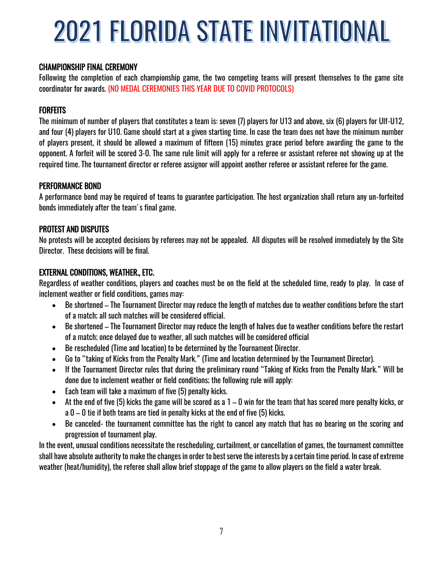#### CHAMPIONSHIP FINAL CEREMONY

Following the completion of each championship game, the two competing teams will present themselves to the game site coordinator for awards. (NO MEDAL CEREMONIES THIS YEAR DUE TO COVID PROTOCOLS)

#### **FORFEITS**

The minimum of number of players that constitutes a team is: seven (7) players for U13 and above, six (6) players for Ulf-U12, and four (4) players for U10. Game should start at a given starting time. In case the team does not have the minimum number of players present, it should be allowed a maximum of fifteen (15) minutes grace period before awarding the game to the opponent. A forfeit will be scored 3-0. The same rule limit will apply for a referee or assistant referee not showing up at the required time. The tournament director or referee assignor will appoint another referee or assistant referee for the game.

#### PERFORMANCE BOND

A performance bond may be required of teams to guarantee participation. The host organization shall return any un-forfeited bonds immediately after the team's final game.

#### PROTEST AND DISPUTES

No protests will be accepted decisions by referees may not be appealed. All disputes will be resolved immediately by the Site Director. These decisions will be final.

#### EXTERNAL CONDITIONS, WEATHER., ETC.

Regardless of weather conditions, players and coaches must be on the field at the scheduled time, ready to play. In case of inclement weather or field conditions, games may:

- Be shortened The Tournament Director may reduce the length of matches due to weather conditions before the start of a match; all such matches will be considered official.
- Be shortened The Tournament Director may reduce the length of halves due to weather conditions before the restart of a match; once delayed due to weather, all such matches will be considered official
- Be rescheduled (Time and location) to be determined by the Tournament Director.
- Go to "taking of Kicks from the Penalty Mark." (Time and location determined by the Tournament Director).
- If the Tournament Director rules that during the preliminary round "Taking of Kicks from the Penalty Mark." Will be done due to inclement weather or field conditions; the following rule will apply:
- Each team will take a maximum of five (5) penalty kicks.
- At the end of five (5) kicks the game will be scored as a  $1-0$  win for the team that has scored more penalty kicks, or a 0 – 0 tie if both teams are tied in penalty kicks at the end of five (5) kicks.
- Be canceled- the tournament committee has the right to cancel any match that has no bearing on the scoring and progression of tournament play.

In the event, unusual conditions necessitate the rescheduling, curtailment, or cancellation of games, the tournament committee shall have absolute authority to make the changes in order to best serve the interests by a certain time period. In case of extreme weather (heat/humidity), the referee shall allow brief stoppage of the game to allow players on the field a water break.